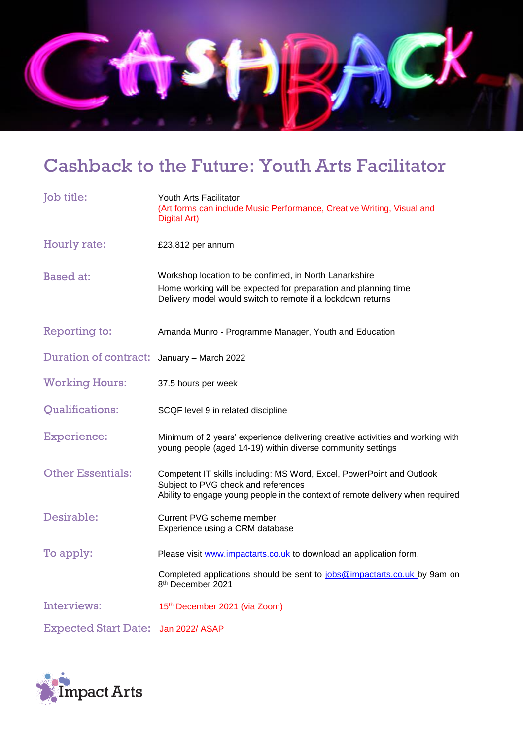

# Cashback to the Future: Youth Arts Facilitator

| <b>Job</b> title:            | Youth Arts Facilitator<br>(Art forms can include Music Performance, Creative Writing, Visual and<br>Digital Art)                                                                               |
|------------------------------|------------------------------------------------------------------------------------------------------------------------------------------------------------------------------------------------|
| Hourly rate:                 | £23,812 per annum                                                                                                                                                                              |
| <b>Based at:</b>             | Workshop location to be confimed, in North Lanarkshire<br>Home working will be expected for preparation and planning time<br>Delivery model would switch to remote if a lockdown returns       |
| Reporting to:                | Amanda Munro - Programme Manager, Youth and Education                                                                                                                                          |
| <b>Duration of contract:</b> | January - March 2022                                                                                                                                                                           |
| <b>Working Hours:</b>        | 37.5 hours per week                                                                                                                                                                            |
| <b>Qualifications:</b>       | SCQF level 9 in related discipline                                                                                                                                                             |
| <b>Experience:</b>           | Minimum of 2 years' experience delivering creative activities and working with<br>young people (aged 14-19) within diverse community settings                                                  |
| <b>Other Essentials:</b>     | Competent IT skills including: MS Word, Excel, PowerPoint and Outlook<br>Subject to PVG check and references<br>Ability to engage young people in the context of remote delivery when required |
| Desirable:                   | Current PVG scheme member<br>Experience using a CRM database                                                                                                                                   |
| To apply:                    | Please visit www.impactarts.co.uk to download an application form.                                                                                                                             |
|                              | Completed applications should be sent to jobs@impactarts.co.uk by 9am on<br>8 <sup>th</sup> December 2021                                                                                      |
| Interviews:                  | 15th December 2021 (via Zoom)                                                                                                                                                                  |
| <b>Expected Start Date:</b>  | Jan 2022/ ASAP                                                                                                                                                                                 |

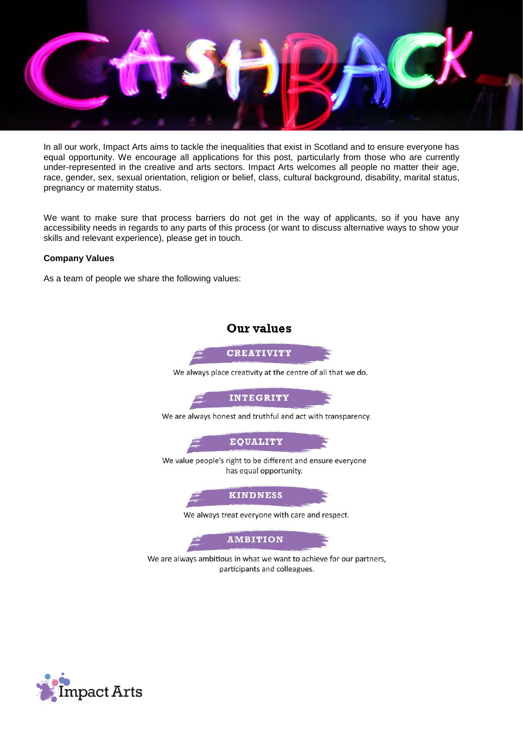

In all our work, Impact Arts aims to tackle the inequalities that exist in Scotland and to ensure everyone has equal opportunity. We encourage all applications for this post, particularly from those who are currently under-represented in the creative and arts sectors. Impact Arts welcomes all people no matter their age, race, gender, sex, sexual orientation, religion or belief, class, cultural background, disability, marital status, pregnancy or maternity status.

We want to make sure that process barriers do not get in the way of applicants, so if you have any accessibility needs in regards to any parts of this process (or want to discuss alternative ways to show your skills and relevant experience), please get in touch.

#### **Company Values**

As a team of people we share the following values:



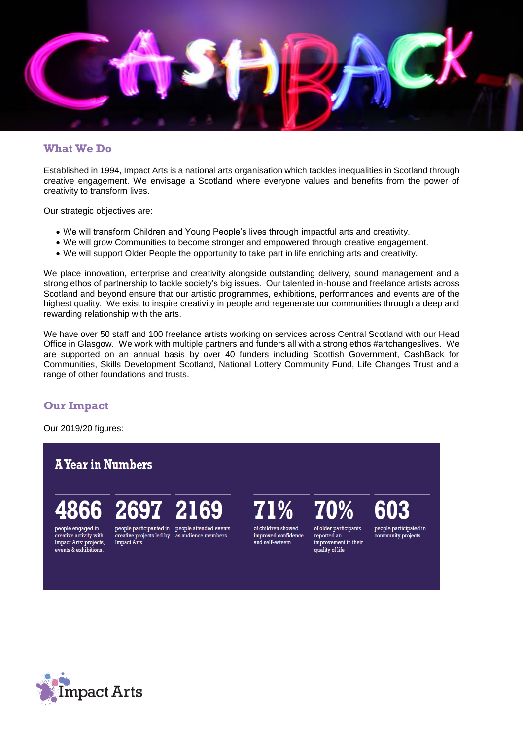

### **What We Do**

Established in 1994, Impact Arts is a national arts organisation which tackles inequalities in Scotland through creative engagement. We envisage a Scotland where everyone values and benefits from the power of creativity to transform lives.

Our strategic objectives are:

- We will transform Children and Young People's lives through impactful arts and creativity.
- We will grow Communities to become stronger and empowered through creative engagement.
- We will support Older People the opportunity to take part in life enriching arts and creativity.

We place innovation, enterprise and creativity alongside outstanding delivery, sound management and a strong ethos of partnership to tackle society's big issues. Our talented in-house and freelance artists across Scotland and beyond ensure that our artistic programmes, exhibitions, performances and events are of the highest quality. We exist to inspire creativity in people and regenerate our communities through a deep and rewarding relationship with the arts.

We have over 50 staff and 100 freelance artists working on services across Central Scotland with our Head Office in Glasgow. We work with multiple partners and funders all with a strong ethos #artchangeslives. We are supported on an annual basis by over 40 funders including Scottish Government, CashBack for Communities, Skills Development Scotland, National Lottery Community Fund, Life Changes Trust and a range of other foundations and trusts.

# **Our Impact**

Our 2019/20 figures:

# **A Year in Numbers**

# people engaged in

creative activity with

Impact Arts: projects,

events & exhibitions.

Impact Arts

people participanted in people attended events creative projects led by as audience members

69

of children showed improved confidence and self-esteem

of older participants reported an improvement in their quality of life

people participated in community projects

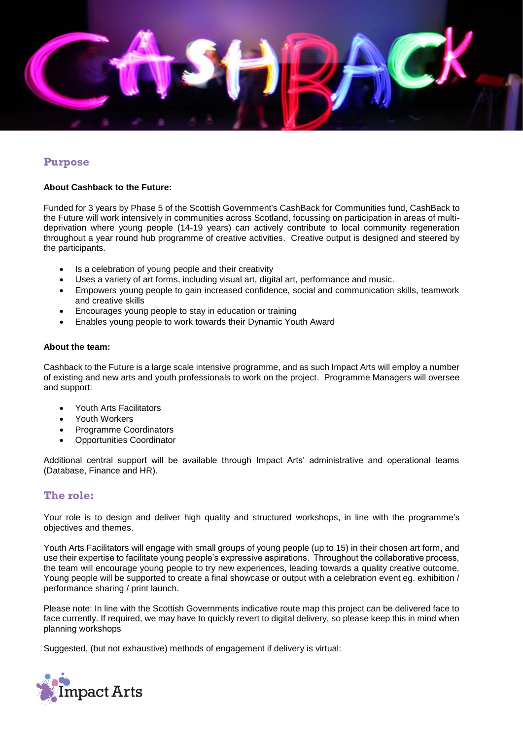

# **Purpose**

#### **About Cashback to the Future:**

Funded for 3 years by Phase 5 of the Scottish Government's CashBack for Communities fund, CashBack to the Future will work intensively in communities across Scotland, focussing on participation in areas of multideprivation where young people (14-19 years) can actively contribute to local community regeneration throughout a year round hub programme of creative activities. Creative output is designed and steered by the participants.

- Is a celebration of young people and their creativity
- Uses a variety of art forms, including visual art, digital art, performance and music.
- Empowers young people to gain increased confidence, social and communication skills, teamwork and creative skills
- Encourages young people to stay in education or training
- Enables young people to work towards their Dynamic Youth Award

#### **About the team:**

Cashback to the Future is a large scale intensive programme, and as such Impact Arts will employ a number of existing and new arts and youth professionals to work on the project. Programme Managers will oversee and support:

- Youth Arts Facilitators
- Youth Workers
- Programme Coordinators
- Opportunities Coordinator

Additional central support will be available through Impact Arts' administrative and operational teams (Database, Finance and HR).

#### **The role:**

Your role is to design and deliver high quality and structured workshops, in line with the programme's objectives and themes.

Youth Arts Facilitators will engage with small groups of young people (up to 15) in their chosen art form, and use their expertise to facilitate young people's expressive aspirations. Throughout the collaborative process, the team will encourage young people to try new experiences, leading towards a quality creative outcome. Young people will be supported to create a final showcase or output with a celebration event eg. exhibition / performance sharing / print launch.

Please note: In line with the Scottish Governments indicative route map this project can be delivered face to face currently. If required, we may have to quickly revert to digital delivery, so please keep this in mind when planning workshops

Suggested, (but not exhaustive) methods of engagement if delivery is virtual:

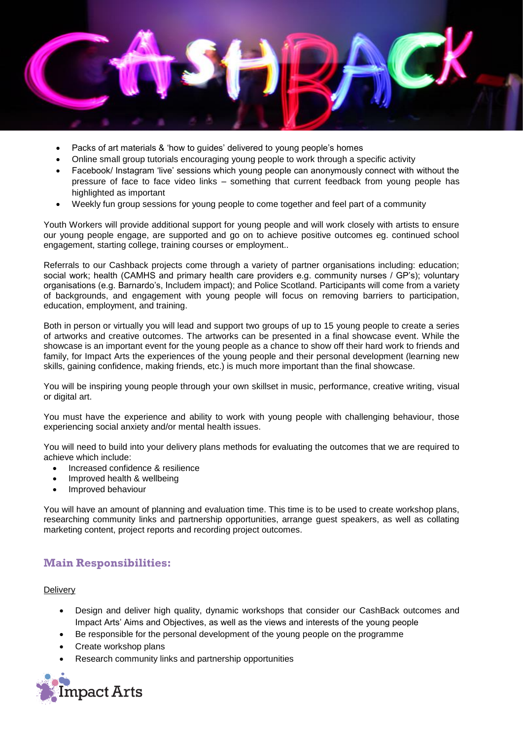

- Packs of art materials & 'how to guides' delivered to young people's homes
- Online small group tutorials encouraging young people to work through a specific activity
- Facebook/ Instagram 'live' sessions which young people can anonymously connect with without the pressure of face to face video links – something that current feedback from young people has highlighted as important
- Weekly fun group sessions for young people to come together and feel part of a community

Youth Workers will provide additional support for young people and will work closely with artists to ensure our young people engage, are supported and go on to achieve positive outcomes eg. continued school engagement, starting college, training courses or employment..

Referrals to our Cashback projects come through a variety of partner organisations including: education; social work; health (CAMHS and primary health care providers e.g. community nurses / GP's); voluntary organisations (e.g. Barnardo's, Includem impact); and Police Scotland. Participants will come from a variety of backgrounds, and engagement with young people will focus on removing barriers to participation, education, employment, and training.

Both in person or virtually you will lead and support two groups of up to 15 young people to create a series of artworks and creative outcomes. The artworks can be presented in a final showcase event. While the showcase is an important event for the young people as a chance to show off their hard work to friends and family, for Impact Arts the experiences of the young people and their personal development (learning new skills, gaining confidence, making friends, etc.) is much more important than the final showcase.

You will be inspiring young people through your own skillset in music, performance, creative writing, visual or digital art.

You must have the experience and ability to work with young people with challenging behaviour, those experiencing social anxiety and/or mental health issues.

You will need to build into your delivery plans methods for evaluating the outcomes that we are required to achieve which include:

- Increased confidence & resilience
- Improved health & wellbeing
- Improved behaviour

You will have an amount of planning and evaluation time. This time is to be used to create workshop plans, researching community links and partnership opportunities, arrange guest speakers, as well as collating marketing content, project reports and recording project outcomes.

# **Main Responsibilities:**

#### **Delivery**

- Design and deliver high quality, dynamic workshops that consider our CashBack outcomes and Impact Arts' Aims and Objectives, as well as the views and interests of the young people
- Be responsible for the personal development of the young people on the programme
- Create workshop plans
- Research community links and partnership opportunities

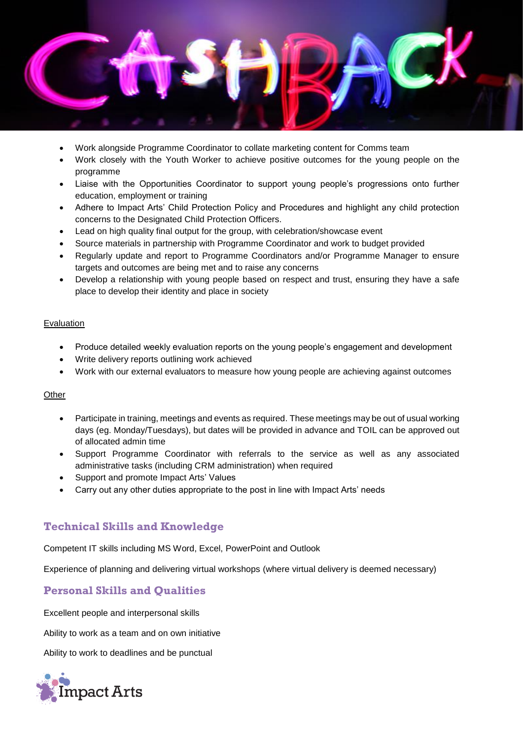

- Work alongside Programme Coordinator to collate marketing content for Comms team
- Work closely with the Youth Worker to achieve positive outcomes for the young people on the programme
- Liaise with the Opportunities Coordinator to support young people's progressions onto further education, employment or training
- Adhere to Impact Arts' Child Protection Policy and Procedures and highlight any child protection concerns to the Designated Child Protection Officers.
- Lead on high quality final output for the group, with celebration/showcase event
- Source materials in partnership with Programme Coordinator and work to budget provided
- Regularly update and report to Programme Coordinators and/or Programme Manager to ensure targets and outcomes are being met and to raise any concerns
- Develop a relationship with young people based on respect and trust, ensuring they have a safe place to develop their identity and place in society

#### Evaluation

- Produce detailed weekly evaluation reports on the young people's engagement and development
- Write delivery reports outlining work achieved
- Work with our external evaluators to measure how young people are achieving against outcomes

#### **Other**

- Participate in training, meetings and events as required. These meetings may be out of usual working days (eg. Monday/Tuesdays), but dates will be provided in advance and TOIL can be approved out of allocated admin time
- Support Programme Coordinator with referrals to the service as well as any associated administrative tasks (including CRM administration) when required
- Support and promote Impact Arts' Values
- Carry out any other duties appropriate to the post in line with Impact Arts' needs

# **Technical Skills and Knowledge**

Competent IT skills including MS Word, Excel, PowerPoint and Outlook

Experience of planning and delivering virtual workshops (where virtual delivery is deemed necessary)

# **Personal Skills and Qualities**

Excellent people and interpersonal skills

Ability to work as a team and on own initiative

Ability to work to deadlines and be punctual